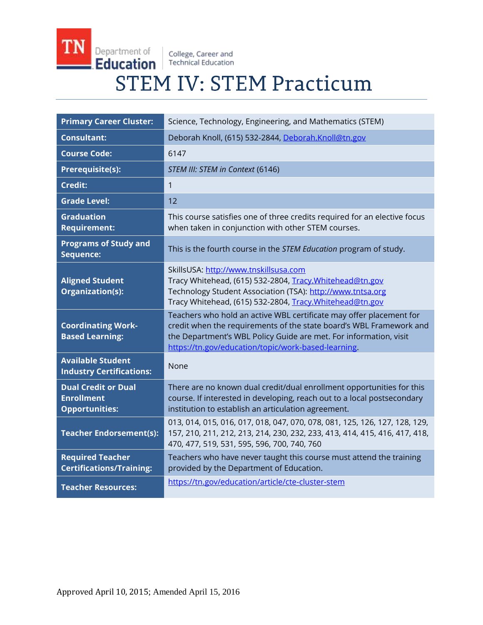College, Career and<br>Technical Education

**TN** 

Department of

Education

# **STEM IV: STEM Practicum**

| <b>Primary Career Cluster:</b>                                           | Science, Technology, Engineering, and Mathematics (STEM)                                                                                                                                                                                                               |
|--------------------------------------------------------------------------|------------------------------------------------------------------------------------------------------------------------------------------------------------------------------------------------------------------------------------------------------------------------|
| <b>Consultant:</b>                                                       | Deborah Knoll, (615) 532-2844, Deborah.Knoll@tn.gov                                                                                                                                                                                                                    |
| <b>Course Code:</b>                                                      | 6147                                                                                                                                                                                                                                                                   |
| <b>Prerequisite(s):</b>                                                  | STEM III: STEM in Context (6146)                                                                                                                                                                                                                                       |
| <b>Credit:</b>                                                           | $\mathbf{1}$                                                                                                                                                                                                                                                           |
| <b>Grade Level:</b>                                                      | 12                                                                                                                                                                                                                                                                     |
| <b>Graduation</b><br><b>Requirement:</b>                                 | This course satisfies one of three credits required for an elective focus<br>when taken in conjunction with other STEM courses.                                                                                                                                        |
| <b>Programs of Study and</b><br>Sequence:                                | This is the fourth course in the STEM Education program of study.                                                                                                                                                                                                      |
| <b>Aligned Student</b><br>Organization(s):                               | SkillsUSA: http://www.tnskillsusa.com<br>Tracy Whitehead, (615) 532-2804, Tracy. Whitehead@tn.gov<br>Technology Student Association (TSA): http://www.tntsa.org<br>Tracy Whitehead, (615) 532-2804, Tracy. Whitehead@tn.gov                                            |
| <b>Coordinating Work-</b><br><b>Based Learning:</b>                      | Teachers who hold an active WBL certificate may offer placement for<br>credit when the requirements of the state board's WBL Framework and<br>the Department's WBL Policy Guide are met. For information, visit<br>https://tn.gov/education/topic/work-based-learning. |
| <b>Available Student</b><br><b>Industry Certifications:</b>              | None                                                                                                                                                                                                                                                                   |
| <b>Dual Credit or Dual</b><br><b>Enrollment</b><br><b>Opportunities:</b> | There are no known dual credit/dual enrollment opportunities for this<br>course. If interested in developing, reach out to a local postsecondary<br>institution to establish an articulation agreement.                                                                |
| <b>Teacher Endorsement(s):</b>                                           | 013, 014, 015, 016, 017, 018, 047, 070, 078, 081, 125, 126, 127, 128, 129,<br>157, 210, 211, 212, 213, 214, 230, 232, 233, 413, 414, 415, 416, 417, 418,<br>470, 477, 519, 531, 595, 596, 700, 740, 760                                                                |
| <b>Required Teacher</b><br><b>Certifications/Training:</b>               | Teachers who have never taught this course must attend the training<br>provided by the Department of Education.                                                                                                                                                        |
| <b>Teacher Resources:</b>                                                | https://tn.gov/education/article/cte-cluster-stem                                                                                                                                                                                                                      |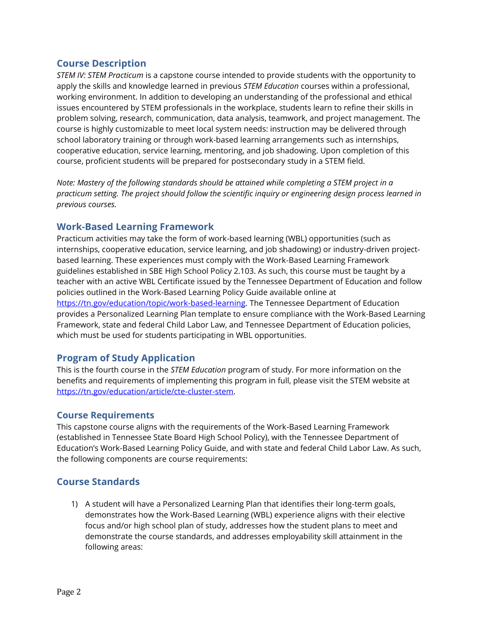## **Course Description**

*STEM IV: STEM Practicum* is a capstone course intended to provide students with the opportunity to apply the skills and knowledge learned in previous *STEM Education* courses within a professional, working environment. In addition to developing an understanding of the professional and ethical issues encountered by STEM professionals in the workplace, students learn to refine their skills in problem solving, research, communication, data analysis, teamwork, and project management. The course is highly customizable to meet local system needs: instruction may be delivered through school laboratory training or through work-based learning arrangements such as internships, cooperative education, service learning, mentoring, and job shadowing. Upon completion of this course, proficient students will be prepared for postsecondary study in a STEM field.

*Note: Mastery of the following standards should be attained while completing a STEM project in a practicum setting. The project should follow the scientific inquiry or engineering design process learned in previous courses.* 

## **Work-Based Learning Framework**

Practicum activities may take the form of work-based learning (WBL) opportunities (such as internships, cooperative education, service learning, and job shadowing) or industry-driven projectbased learning. These experiences must comply with the Work-Based Learning Framework guidelines established in SBE High School Policy 2.103. As such, this course must be taught by a teacher with an active WBL Certificate issued by the Tennessee Department of Education and follow policies outlined in the Work-Based Learning Policy Guide available online at [https://tn.gov/education/topic/work-based-learning.](https://tn.gov/education/topic/work-based-learning) The Tennessee Department of Education provides a Personalized Learning Plan template to ensure compliance with the Work-Based Learning Framework, state and federal Child Labor Law, and Tennessee Department of Education policies, which must be used for students participating in WBL opportunities.

# **Program of Study Application**

This is the fourth course in the *STEM Education* program of study. For more information on the benefits and requirements of implementing this program in full, please visit the STEM website at [https://tn.gov/education/article/cte-cluster-stem.](https://tn.gov/education/article/cte-cluster-stem)

## **Course Requirements**

This capstone course aligns with the requirements of the Work-Based Learning Framework (established in Tennessee State Board High School Policy), with the Tennessee Department of Education's Work-Based Learning Policy Guide, and with state and federal Child Labor Law. As such, the following components are course requirements:

# **Course Standards**

1) A student will have a Personalized Learning Plan that identifies their long-term goals, demonstrates how the Work-Based Learning (WBL) experience aligns with their elective focus and/or high school plan of study, addresses how the student plans to meet and demonstrate the course standards, and addresses employability skill attainment in the following areas: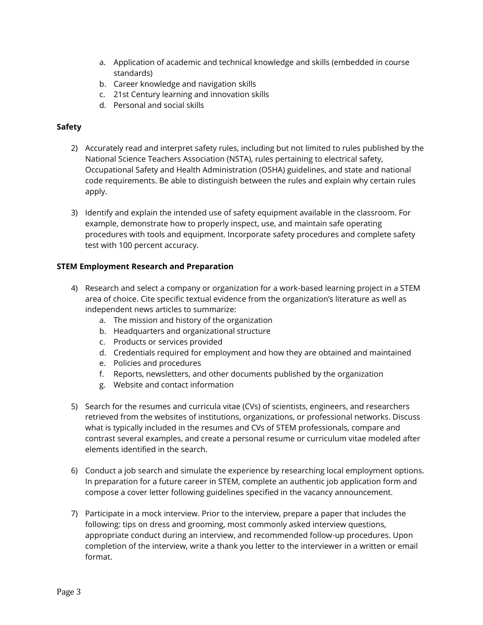- a. Application of academic and technical knowledge and skills (embedded in course standards)
- b. Career knowledge and navigation skills
- c. 21st Century learning and innovation skills
- d. Personal and social skills

#### **Safety**

- 2) Accurately read and interpret safety rules, including but not limited to rules published by the National Science Teachers Association (NSTA), rules pertaining to electrical safety, Occupational Safety and Health Administration (OSHA) guidelines, and state and national code requirements. Be able to distinguish between the rules and explain why certain rules apply.
- 3) Identify and explain the intended use of safety equipment available in the classroom. For example, demonstrate how to properly inspect, use, and maintain safe operating procedures with tools and equipment. Incorporate safety procedures and complete safety test with 100 percent accuracy.

#### **STEM Employment Research and Preparation**

- 4) Research and select a company or organization for a work-based learning project in a STEM area of choice. Cite specific textual evidence from the organization's literature as well as independent news articles to summarize:
	- a. The mission and history of the organization
	- b. Headquarters and organizational structure
	- c. Products or services provided
	- d. Credentials required for employment and how they are obtained and maintained
	- e. Policies and procedures
	- f. Reports, newsletters, and other documents published by the organization
	- g. Website and contact information
- 5) Search for the resumes and curricula vitae (CVs) of scientists, engineers, and researchers retrieved from the websites of institutions, organizations, or professional networks. Discuss what is typically included in the resumes and CVs of STEM professionals, compare and contrast several examples, and create a personal resume or curriculum vitae modeled after elements identified in the search.
- 6) Conduct a job search and simulate the experience by researching local employment options. In preparation for a future career in STEM, complete an authentic job application form and compose a cover letter following guidelines specified in the vacancy announcement.
- 7) Participate in a mock interview. Prior to the interview, prepare a paper that includes the following: tips on dress and grooming, most commonly asked interview questions, appropriate conduct during an interview, and recommended follow-up procedures. Upon completion of the interview, write a thank you letter to the interviewer in a written or email format.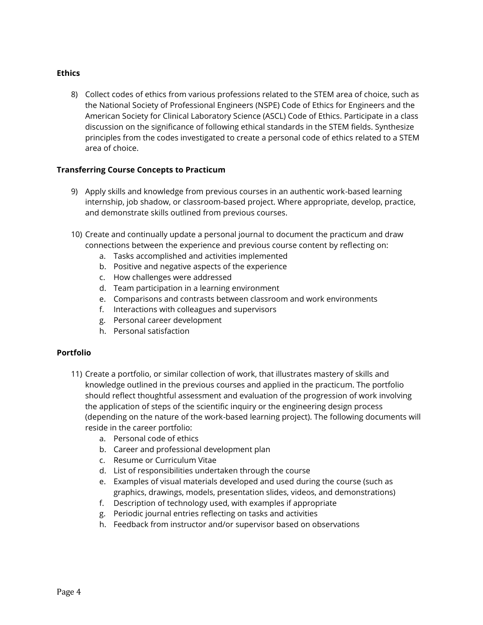#### **Ethics**

8) Collect codes of ethics from various professions related to the STEM area of choice, such as the National Society of Professional Engineers (NSPE) Code of Ethics for Engineers and the American Society for Clinical Laboratory Science (ASCL) Code of Ethics. Participate in a class discussion on the significance of following ethical standards in the STEM fields. Synthesize principles from the codes investigated to create a personal code of ethics related to a STEM area of choice.

#### **Transferring Course Concepts to Practicum**

- 9) Apply skills and knowledge from previous courses in an authentic work-based learning internship, job shadow, or classroom-based project. Where appropriate, develop, practice, and demonstrate skills outlined from previous courses.
- 10) Create and continually update a personal journal to document the practicum and draw connections between the experience and previous course content by reflecting on:
	- a. Tasks accomplished and activities implemented
	- b. Positive and negative aspects of the experience
	- c. How challenges were addressed
	- d. Team participation in a learning environment
	- e. Comparisons and contrasts between classroom and work environments
	- f. Interactions with colleagues and supervisors
	- g. Personal career development
	- h. Personal satisfaction

#### **Portfolio**

- 11) Create a portfolio, or similar collection of work, that illustrates mastery of skills and knowledge outlined in the previous courses and applied in the practicum. The portfolio should reflect thoughtful assessment and evaluation of the progression of work involving the application of steps of the scientific inquiry or the engineering design process (depending on the nature of the work-based learning project). The following documents will reside in the career portfolio:
	- a. Personal code of ethics
	- b. Career and professional development plan
	- c. Resume or Curriculum Vitae
	- d. List of responsibilities undertaken through the course
	- e. Examples of visual materials developed and used during the course (such as graphics, drawings, models, presentation slides, videos, and demonstrations)
	- f. Description of technology used, with examples if appropriate
	- g. Periodic journal entries reflecting on tasks and activities
	- h. Feedback from instructor and/or supervisor based on observations